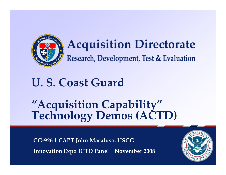

## **Acquisition Directorate**

Research, Development, Test & Evaluation

### **U. S. Coast Guard**

# **"Acquisition Capability" Technology Demos (ACTD)**

**CG‐926 | CAPT John Macaluso, USCG Innovation Expo JCTD Panel | November <sup>2008</sup>**

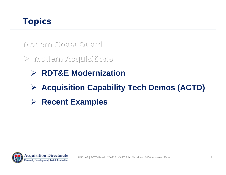**Modern Coast Guard Modern Coast Guard Modern Coast Guard**

**Modern Acquisitions Modern Acquisitions Modern Acquisitions**

- **RDT&E Modernization**
- **Acquisition Capability Tech Demos (ACTD)**
- **EXamples > Recent Examples**

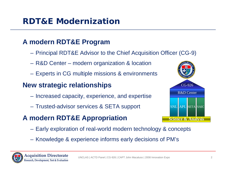### **RDT&E Modernization**

### **A modern RDT&E Program**

- Principal RDT&E Advisor to the Chief Acquisition Officer (CG-9)
- R&D Center modern organization & location
- Experts in CG multiple missions & environments

### **New strategic relationships**

- Increased capacity, experience, and expertise
- Trusted-advisor services & SETA support

### **A modern RDT&E Appropriation**



- Early exploration of real-world modern technology & concepts
- Knowledge & experience informs early decisions of PM's

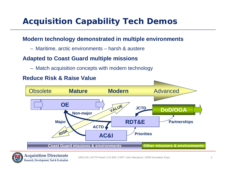### **Acquisition Capability Tech Demos**

#### **Modern technology demonstrated in multiple environments**

– Maritime, arctic environments – harsh & austere

#### **Adapted to Coast Guard multiple missions**

– Match acquisition concepts with modern technology



#### **Reduce Risk & Raise Value**

Research, Development, Test & Evaluation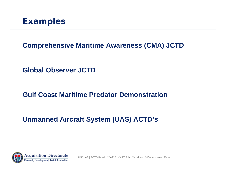

#### **Comprehensive Maritime Awareness (CMA) JCTD**

**Global Observer JCTD**

### **Gulf Coast Maritime Predator Demonstration**

### **Unmanned Aircraft System (UAS) ACTD's**

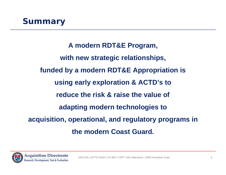### **Summary**

**A modern RDT&E Program, with new strategic relationships, funded by a modern RDT&E Appropriation is using early exploration & ACTD's to reduce the risk & raise the value of adapting modern technologies to acquisition, operational, and regulatory programs in the modern Coast Guard.** 

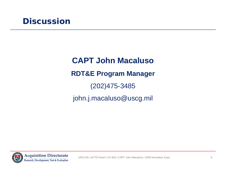**CAPT John MacalusoRDT&E Program Manager** (202)475-3485 john.j.macaluso@uscg.mil

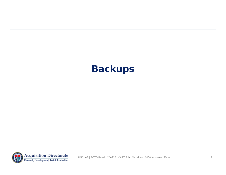### **Backups**

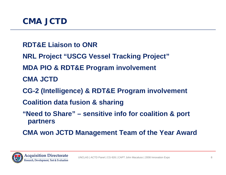- **RDT&E Liaison to ONR**
- **NRL Project "USCG Vessel Tracking Project"**
- **MDA PIO & RDT&E Program involvement**
- **CMA JCTD**
- **CG-2 (Intelligence) & RDT&E Program involvement**
- **Coalition data fusion & sharing**
- **"Need to Share" sensitive info for coalition & port partners**
- **CMA won JCTD Management Team of the Year Award**

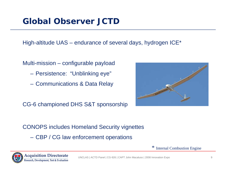### **Global Observer JCTD**

High-altitude UAS – endurance of several days, hydrogen ICE\*

Multi-mission – configurable payload

- Persistence: "Unblinking eye"
- Communications & Data Relay

CG-6 championed DHS S&T sponsorship



CONOPS includes Homeland Security vignettes

– CBP / CG law enforcement operations

\* Internal Combustion Engine

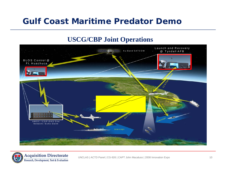### **Gulf Coast Maritime Predator Demo**

#### **USCG/CBP Joint Operations**



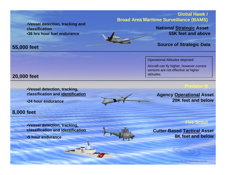•**Vessel detection, tracking and classification**•**36 hrs hour fuel endurance**

#### **Global Hawk / Broad Area Maritime Surveillance (BAMS)**

**National Strategic Asset 55K feet and above**

#### **Source of Strategic Data**

#### Operational Altitudes depicted:

Aircraft can fly higher, however current sensors are not effective at higher altitudes.

#### **Predator B**

**Agency Operational Asset 20K feet and below**

**Fire Scout**

**Cutter-Based Tactical Asset 8K feet and below**

www.StahlWorks.com

**20,000 feet**

•**Vessel detection, tracking, classification and identification**

•**24 hour endurance**

#### **8,000 feet**

•**Vessel detection, tracking, classification and identification**

•**5 hour endurance**





### **55,000 feet**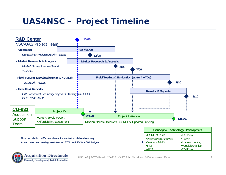### **UAS4NSC – Project Timeline**